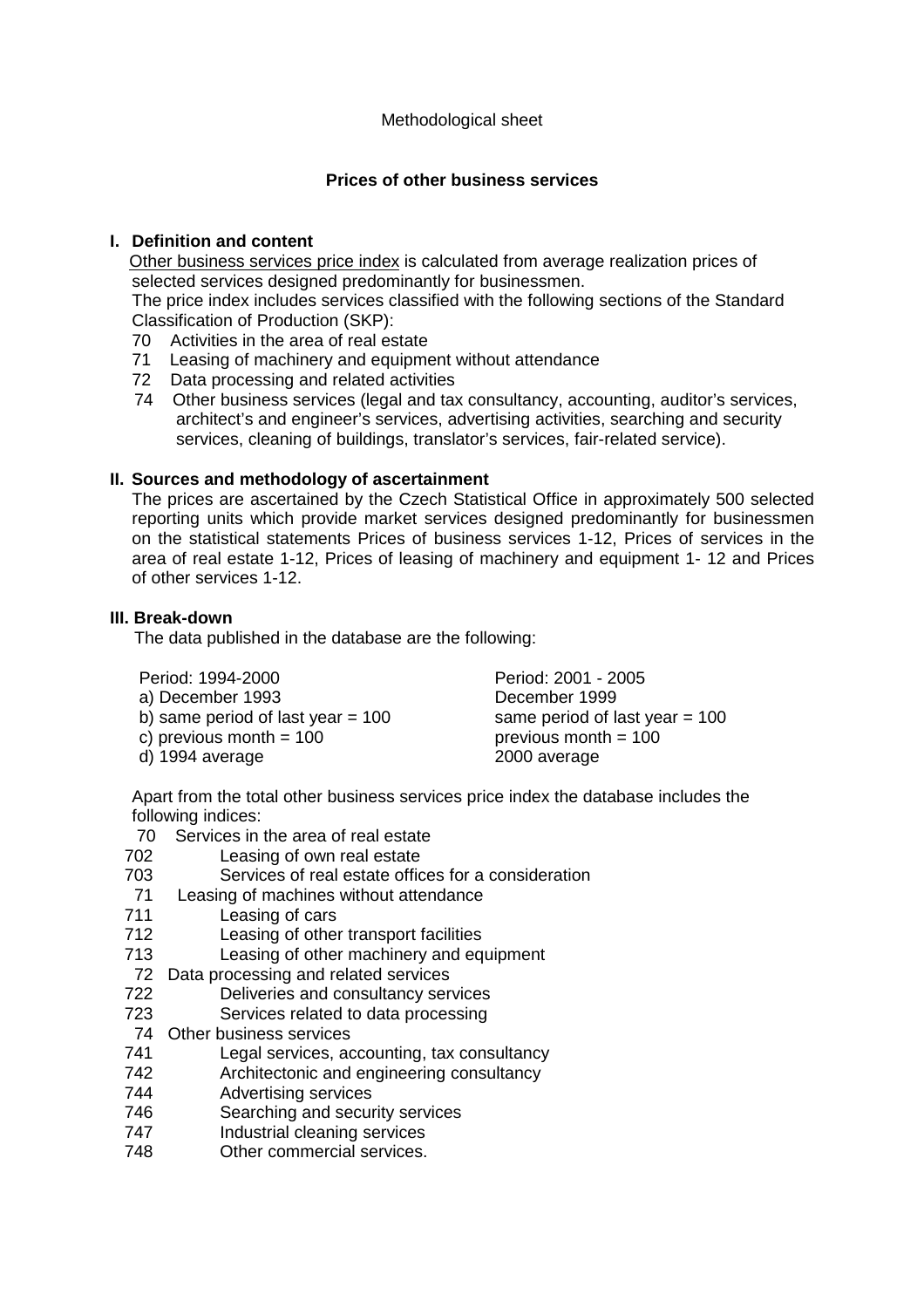# **Prices of other business services**

## **I. Definition and content**

 Other business services price index is calculated from average realization prices of selected services designed predominantly for businessmen.

The price index includes services classified with the following sections of the Standard Classification of Production (SKP):

- 70 Activities in the area of real estate
- 71 Leasing of machinery and equipment without attendance
- 72 Data processing and related activities
- 74 Other business services (legal and tax consultancy, accounting, auditor's services, architect's and engineer's services, advertising activities, searching and security services, cleaning of buildings, translator's services, fair-related service).

### **II. Sources and methodology of ascertainment**

The prices are ascertained by the Czech Statistical Office in approximately 500 selected reporting units which provide market services designed predominantly for businessmen on the statistical statements Prices of business services 1-12, Prices of services in the area of real estate 1-12, Prices of leasing of machinery and equipment 1- 12 and Prices of other services 1-12.

### **III. Break-down**

The data published in the database are the following:

| Period: 1994-2000                   | Period: 2001 - 2005              |
|-------------------------------------|----------------------------------|
| a) December 1993                    | December 1999                    |
| b) same period of last year = $100$ | same period of last year $= 100$ |
| c) previous month = $100$           | previous month $= 100$           |
| d) 1994 average                     | 2000 average                     |

Apart from the total other business services price index the database includes the following indices:

- 70 Services in the area of real estate
- 702 Leasing of own real estate
- 703 Services of real estate offices for a consideration
- 71 Leasing of machines without attendance
- 711 Leasing of cars
- 712 Leasing of other transport facilities
- 713 Leasing of other machinery and equipment
- 72 Data processing and related services
- 722 Deliveries and consultancy services
- 723 Services related to data processing
- 74 Other business services
- 741 Legal services, accounting, tax consultancy
- 742 Architectonic and engineering consultancy
- 744 Advertising services
- 746 Searching and security services<br>747 – Industrial cleaning services
- Industrial cleaning services
- 748 Other commercial services.